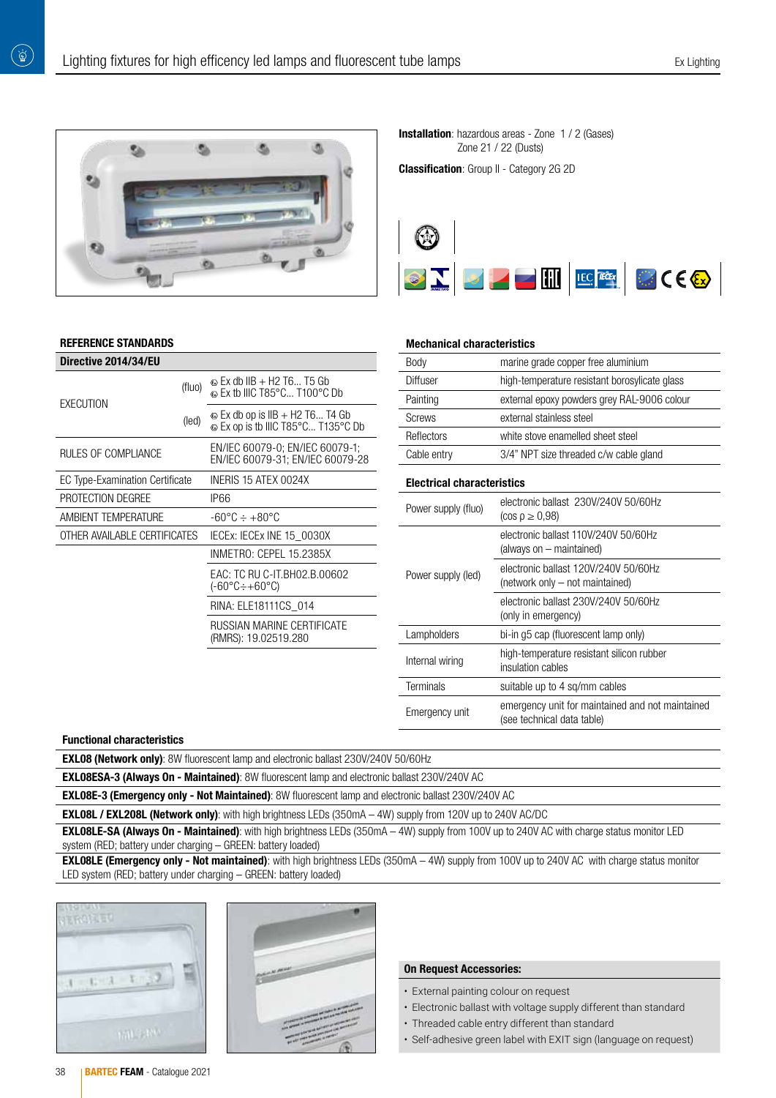

### REFERENCE STANDARDS

 $\left(\begin{smallmatrix}\Delta^{\prime}\\ \Delta\end{smallmatrix}\right)$ 

| Directive 2014/34/EU                   |        |                                                                             |  |  |  |  |
|----------------------------------------|--------|-----------------------------------------------------------------------------|--|--|--|--|
| EXECUTION                              | (fluo) | $\circledcirc$ Ex db IIB + H2 T6 T5 Gb<br>© Ex tb IIIC T85°C T100°C Db      |  |  |  |  |
|                                        | (led)  | $\odot$ Ex db op is IIB + H2 T6 T4 Gb<br>© Ex op is tb IIIC T85°C T135°C Db |  |  |  |  |
| RULES OF COMPLIANCE                    |        | EN/IEC 60079-0; EN/IEC 60079-1;<br>EN/IEC 60079-31; EN/IEC 60079-28         |  |  |  |  |
| <b>EC Type-Examination Certificate</b> |        | INERIS 15 ATEX 0024X                                                        |  |  |  |  |
| PROTECTION DEGREE                      |        | IP66                                                                        |  |  |  |  |
| AMBIENT TEMPERATURE                    |        | -60°C ÷ +80°C                                                               |  |  |  |  |
| OTHER AVAILABLE CERTIFICATES           |        | IECEX: IECEX INE 15 0030X                                                   |  |  |  |  |
|                                        |        | INMETRO: CEPEL 15.2385X                                                     |  |  |  |  |
|                                        |        | EAC: TC RU C-IT.BH02.B.00602<br>$(-60^{\circ}C \div +60^{\circ}C)$          |  |  |  |  |
|                                        |        | RINA: ELE18111CS 014                                                        |  |  |  |  |
|                                        |        | <b>RUSSIAN MARINE CERTIFICATE</b><br>(RMRS): 19.02519.280                   |  |  |  |  |
|                                        |        |                                                                             |  |  |  |  |

### **Installation**: hazardous areas - Zone 1 / 2 (Gases) Zone 21 / 22 (Dusts)

**Classification:** Group II - Category 2G 2D



#### Mechanical characteristics

| Body                              | marine grade copper free aluminium                                             |  |  |  |  |  |
|-----------------------------------|--------------------------------------------------------------------------------|--|--|--|--|--|
| Diffuser                          | high-temperature resistant borosylicate glass                                  |  |  |  |  |  |
| Painting                          | external epoxy powders grey RAL-9006 colour                                    |  |  |  |  |  |
| <b>Screws</b>                     | external stainless steel                                                       |  |  |  |  |  |
| Reflectors                        | white stove enamelled sheet steel                                              |  |  |  |  |  |
| Cable entry                       | 3/4" NPT size threaded c/w cable gland                                         |  |  |  |  |  |
| <b>Electrical characteristics</b> |                                                                                |  |  |  |  |  |
| Power supply (fluo)               | electronic ballast 230V/240V 50/60Hz<br>$(cos \rho \ge 0.98)$                  |  |  |  |  |  |
| Power supply (led)                | electronic ballast 110V/240V 50/60Hz<br>(always on - maintained)               |  |  |  |  |  |
|                                   | electronic ballast 120V/240V 50/60Hz<br>(network only – not maintained)        |  |  |  |  |  |
|                                   | electronic ballast 230V/240V 50/60Hz<br>(only in emergency)                    |  |  |  |  |  |
| Lampholders                       | bi-in g5 cap (fluorescent lamp only)                                           |  |  |  |  |  |
| Internal wiring                   | high-temperature resistant silicon rubber<br>insulation cables                 |  |  |  |  |  |
| <b>Terminals</b>                  | suitable up to 4 sq/mm cables                                                  |  |  |  |  |  |
| Emergency unit                    | emergency unit for maintained and not maintained<br>(see technical data table) |  |  |  |  |  |

### Functional characteristics

EXL08 (Network only): 8W fluorescent lamp and electronic ballast 230V/240V 50/60Hz

EXL08ESA-3 (Always On - Maintained): 8W fluorescent lamp and electronic ballast 230V/240V AC

EXL08E-3 (Emergency only - Not Maintained): 8W fluorescent lamp and electronic ballast 230V/240V AC

EXL08L / EXL208L (Network only): with high brightness LEDs (350mA - 4W) supply from 120V up to 240V AC/DC

EXL08LE-SA (Always On - Maintained): with high brightness LEDs (350mA – 4W) supply from 100V up to 240V AC with charge status monitor LED system (RED; battery under charging – GREEN: battery loaded)

EXL08LE (Emergency only - Not maintained): with high brightness LEDs (350mA - 4W) supply from 100V up to 240V AC with charge status monitor LED system (RED; battery under charging – GREEN: battery loaded)





# On Request Accessories:

- External painting colour on request
- Electronic ballast with voltage supply different than standard
- Threaded cable entry different than standard
- Self-adhesive green label with EXIT sign (language on request)